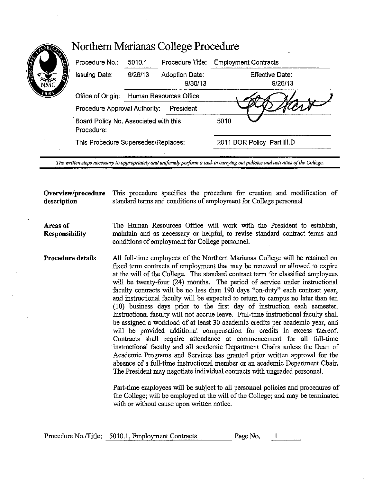| Procedure No.:                                      | 5010.1                              | Procedure Title:          | <b>Employment Contracts</b> |
|-----------------------------------------------------|-------------------------------------|---------------------------|-----------------------------|
| <b>Issuing Date:</b>                                | 9/26/13                             | Adoption Date:<br>9/30/13 | Effective Date:<br>9/26/13  |
| Office of Origin:                                   | Human Resources Office              |                           |                             |
| Procedure Approval Authority:                       |                                     | President                 |                             |
| Board Policy No. Associated with this<br>Procedure: |                                     |                           | 5010                        |
|                                                     | This Procedure Supersedes/Replaces: |                           | 2011 BOR Policy Part III.D  |

**Overview/procedure** This procedure specifies the procedure for creation and modification of **description** standard terms and conditions of employment for College personnel

**Areas of Responsibility**  The Human Resources Office will work with the President to establish, maintain and as necessary or helpful, to revise standard contract terms and conditions of employment for College personnel.

**Procedure details**  All full-time employees of the Northern Marianas College will be retained on fixed term contracts of employment that may be renewed or allowed to expire at the will of the College. The standard contract term for classified employees will be twenty-four (24) months. The period of service under instructional faculty contracts will be no less than 190 days "on-duty" each contract year, and instructional faculty will be expected to return to campus no later than ten (10) business days prior to the first day of instruction each semester. Instructional faculty will not accrue leave. Full-time instructional faculty shall be assigned a workload of at least 30 academic credits per academic year, and will be provided additional compensation for credits in excess thereof. Contracts shall require attendance at commencement for all full-time instructional faculty and all academic Department Chairs unless the Dean of Academic Programs and Services has granted prior written approval for the absence of a full-time instructional member or an academic Department Chair. The President may negotiate individual contracts with ungraded personnel.

> Part-time employees will be subject to all personnel policies and procedures of the College; will be employed at the will of the College; and may be terminated with or without cause upon written notice.

| Procedure No./Title: 5010.1, Employment Contracts | Page No. |  |
|---------------------------------------------------|----------|--|
|                                                   |          |  |